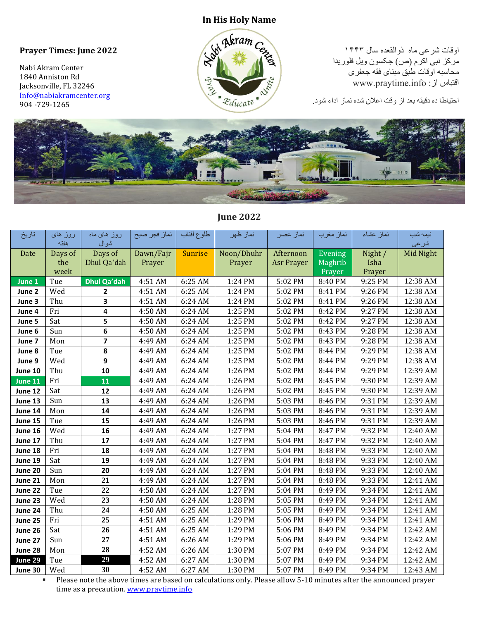## **Prayer Times: June 2022**

Nabi Akram Center 1840 Anniston Rd Jacksonville, FL 32246 [Info@nabiakramcenter.org](mailto:Info@nabiakramcenter.org)  904 -729-1265



اوقات شرعی ماه ذوالقعده سال ۱۴۴۳ مرکز نبی اکرم (ص) جکسون ویل فلوریدا محاسبه اوقات طبق مبنای فقه جعفری www.praytime.info :از اقتباس

احتیاطا ده دقیقه بعد از وقت اعالن شده نماز اداء شود.



## **June 2022**

| تاريخ   | روز های<br>هفته | روز های ماه<br>شوال | نماز فجر صبح | طلوع أفتاب     | نماز ظهر   | نماز عصر          | نماز مغرب | نماز عشاء | نيمه شب<br>شرعى |
|---------|-----------------|---------------------|--------------|----------------|------------|-------------------|-----------|-----------|-----------------|
| Date    | Days of         | Days of             | Dawn/Fajr    | <b>Sunrise</b> | Noon/Dhuhr | Afternoon         | Evening   | Night /   | Mid Night       |
|         | the             | Dhul Qa'dah         | Prayer       |                | Prayer     | <b>Asr Prayer</b> | Maghrib   | Isha      |                 |
|         | week            |                     |              |                |            |                   | Prayer    | Prayer    |                 |
| June 1  | Tue             | <b>Dhul Qa'dah</b>  | 4:51 AM      | 6:25 AM        | 1:24 PM    | 5:02 PM           | 8:40 PM   | 9:25 PM   | 12:38 AM        |
| June 2  | Wed             | 2                   | 4:51 AM      | 6:25 AM        | 1:24 PM    | 5:02 PM           | 8:41 PM   | 9:26 PM   | 12:38 AM        |
| June 3  | Thu             | 3                   | 4:51 AM      | 6:24 AM        | 1:24 PM    | 5:02 PM           | 8:41 PM   | 9:26 PM   | 12:38 AM        |
| June 4  | Fri             | 4                   | 4:50 AM      | 6:24 AM        | 1:25 PM    | 5:02 PM           | 8:42 PM   | 9:27 PM   | 12:38 AM        |
| June 5  | Sat             | 5                   | 4:50 AM      | 6:24 AM        | 1:25 PM    | 5:02 PM           | 8:42 PM   | 9:27 PM   | 12:38 AM        |
| June 6  | Sun             | 6                   | 4:50 AM      | 6:24 AM        | 1:25 PM    | 5:02 PM           | 8:43 PM   | 9:28 PM   | 12:38 AM        |
| June 7  | Mon             | 7                   | 4:49 AM      | 6:24 AM        | 1:25 PM    | 5:02 PM           | 8:43 PM   | 9:28 PM   | 12:38 AM        |
| June 8  | Tue             | 8                   | 4:49 AM      | 6:24 AM        | 1:25 PM    | 5:02 PM           | 8:44 PM   | 9:29 PM   | 12:38 AM        |
| June 9  | Wed             | 9                   | 4:49 AM      | 6:24 AM        | 1:25 PM    | 5:02 PM           | 8:44 PM   | 9:29 PM   | 12:38 AM        |
| June 10 | Thu             | 10                  | 4:49 AM      | 6:24 AM        | 1:26 PM    | 5:02 PM           | 8:44 PM   | 9:29 PM   | 12:39 AM        |
| June 11 | Fri             | 11                  | 4:49 AM      | 6:24 AM        | 1:26 PM    | 5:02 PM           | 8:45 PM   | 9:30 PM   | 12:39 AM        |
| June 12 | Sat             | 12                  | 4:49 AM      | 6:24 AM        | 1:26 PM    | 5:02 PM           | 8:45 PM   | 9:30 PM   | 12:39 AM        |
| June 13 | Sun             | 13                  | 4:49 AM      | 6:24 AM        | 1:26 PM    | 5:03 PM           | 8:46 PM   | 9:31 PM   | 12:39 AM        |
| June 14 | Mon             | 14                  | 4:49 AM      | 6:24 AM        | 1:26 PM    | 5:03 PM           | 8:46 PM   | 9:31 PM   | 12:39 AM        |
| June 15 | Tue             | 15                  | 4:49 AM      | 6:24 AM        | 1:26 PM    | 5:03 PM           | 8:46 PM   | 9:31 PM   | 12:39 AM        |
| June 16 | Wed             | 16                  | 4:49 AM      | 6:24 AM        | 1:27 PM    | 5:04 PM           | 8:47 PM   | 9:32 PM   | 12:40 AM        |
| June 17 | Thu             | 17                  | 4:49 AM      | 6:24 AM        | 1:27 PM    | 5:04 PM           | 8:47 PM   | 9:32 PM   | 12:40 AM        |
| June 18 | Fri             | 18                  | 4:49 AM      | 6:24 AM        | 1:27 PM    | 5:04 PM           | 8:48 PM   | 9:33 PM   | 12:40 AM        |
| June 19 | Sat             | 19                  | 4:49 AM      | 6:24 AM        | 1:27 PM    | 5:04 PM           | 8:48 PM   | 9:33 PM   | 12:40 AM        |
| June 20 | Sun             | 20                  | 4:49 AM      | 6:24 AM        | 1:27 PM    | 5:04 PM           | 8:48 PM   | 9:33 PM   | 12:40 AM        |
| June 21 | Mon             | 21                  | 4:49 AM      | 6:24 AM        | 1:27 PM    | 5:04 PM           | 8:48 PM   | 9:33 PM   | 12:41 AM        |
| June 22 | Tue             | 22                  | 4:50 AM      | 6:24 AM        | 1:27 PM    | 5:04 PM           | 8:49 PM   | 9:34 PM   | 12:41 AM        |
| June 23 | Wed             | 23                  | 4:50 AM      | 6:24 AM        | 1:28 PM    | 5:05 PM           | 8:49 PM   | 9:34 PM   | 12:41 AM        |
| June 24 | Thu             | 24                  | 4:50 AM      | 6:25 AM        | 1:28 PM    | 5:05 PM           | 8:49 PM   | 9:34 PM   | 12:41 AM        |
| June 25 | Fri             | 25                  | 4:51 AM      | 6:25 AM        | 1:29 PM    | 5:06 PM           | 8:49 PM   | 9:34 PM   | 12:41 AM        |
| June 26 | Sat             | 26                  | 4:51 AM      | 6:25 AM        | 1:29 PM    | 5:06 PM           | 8:49 PM   | 9:34 PM   | 12:42 AM        |
| June 27 | Sun             | 27                  | 4:51 AM      | 6:26 AM        | 1:29 PM    | 5:06 PM           | 8:49 PM   | 9:34 PM   | 12:42 AM        |
| June 28 | Mon             | 28                  | 4:52 AM      | 6:26 AM        | 1:30 PM    | 5:07 PM           | 8:49 PM   | 9:34 PM   | 12:42 AM        |
| June 29 | Tue             | 29                  | 4:52 AM      | 6:27 AM        | 1:30 PM    | 5:07 PM           | 8:49 PM   | 9:34 PM   | 12:42 AM        |
| June 30 | Wed             | 30                  | 4:52 AM      | 6:27 AM        | 1:30 PM    | 5:07 PM           | 8:49 PM   | 9:34 PM   | 12:43 AM        |

▪ Please note the above times are based on calculations only. Please allow 5-10 minutes after the announced prayer time as a precaution. [www.praytime.info](http://www.praytime.info/)